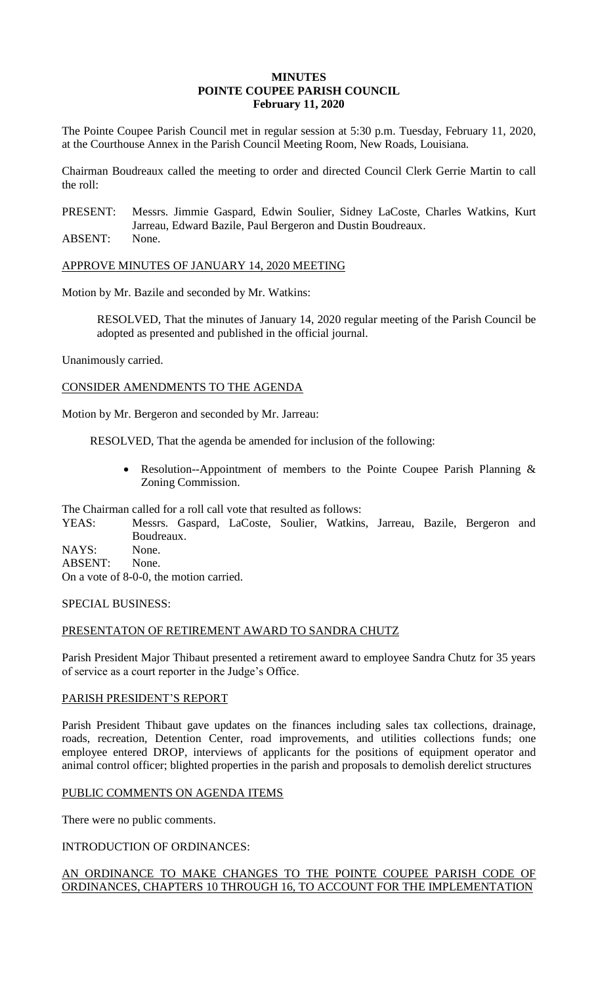#### **MINUTES POINTE COUPEE PARISH COUNCIL February 11, 2020**

The Pointe Coupee Parish Council met in regular session at 5:30 p.m. Tuesday, February 11, 2020, at the Courthouse Annex in the Parish Council Meeting Room, New Roads, Louisiana.

Chairman Boudreaux called the meeting to order and directed Council Clerk Gerrie Martin to call the roll:

PRESENT: Messrs. Jimmie Gaspard, Edwin Soulier, Sidney LaCoste, Charles Watkins, Kurt Jarreau, Edward Bazile, Paul Bergeron and Dustin Boudreaux.

ABSENT: None.

APPROVE MINUTES OF JANUARY 14, 2020 MEETING

Motion by Mr. Bazile and seconded by Mr. Watkins:

RESOLVED, That the minutes of January 14, 2020 regular meeting of the Parish Council be adopted as presented and published in the official journal.

Unanimously carried.

CONSIDER AMENDMENTS TO THE AGENDA

Motion by Mr. Bergeron and seconded by Mr. Jarreau:

RESOLVED, That the agenda be amended for inclusion of the following:

 Resolution--Appointment of members to the Pointe Coupee Parish Planning & Zoning Commission.

The Chairman called for a roll call vote that resulted as follows:

YEAS: Messrs. Gaspard, LaCoste, Soulier, Watkins, Jarreau, Bazile, Bergeron and Boudreaux. NAYS: None.

ABSENT: None.

On a vote of 8-0-0, the motion carried.

SPECIAL BUSINESS:

# PRESENTATON OF RETIREMENT AWARD TO SANDRA CHUTZ

Parish President Major Thibaut presented a retirement award to employee Sandra Chutz for 35 years of service as a court reporter in the Judge's Office.

## PARISH PRESIDENT'S REPORT

Parish President Thibaut gave updates on the finances including sales tax collections, drainage, roads, recreation, Detention Center, road improvements, and utilities collections funds; one employee entered DROP, interviews of applicants for the positions of equipment operator and animal control officer; blighted properties in the parish and proposals to demolish derelict structures

## PUBLIC COMMENTS ON AGENDA ITEMS

There were no public comments.

INTRODUCTION OF ORDINANCES:

# AN ORDINANCE TO MAKE CHANGES TO THE POINTE COUPEE PARISH CODE OF ORDINANCES, CHAPTERS 10 THROUGH 16, TO ACCOUNT FOR THE IMPLEMENTATION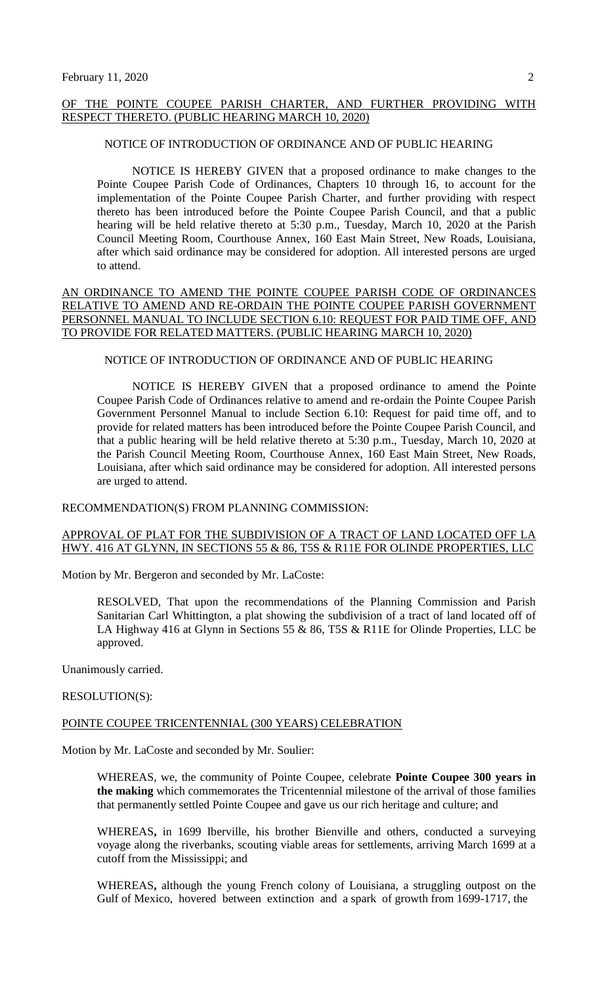#### OF THE POINTE COUPEE PARISH CHARTER, AND FURTHER PROVIDING WITH RESPECT THERETO. (PUBLIC HEARING MARCH 10, 2020)

#### NOTICE OF INTRODUCTION OF ORDINANCE AND OF PUBLIC HEARING

NOTICE IS HEREBY GIVEN that a proposed ordinance to make changes to the Pointe Coupee Parish Code of Ordinances, Chapters 10 through 16, to account for the implementation of the Pointe Coupee Parish Charter, and further providing with respect thereto has been introduced before the Pointe Coupee Parish Council, and that a public hearing will be held relative thereto at 5:30 p.m., Tuesday, March 10, 2020 at the Parish Council Meeting Room, Courthouse Annex, 160 East Main Street, New Roads, Louisiana, after which said ordinance may be considered for adoption. All interested persons are urged to attend.

## AN ORDINANCE TO AMEND THE POINTE COUPEE PARISH CODE OF ORDINANCES RELATIVE TO AMEND AND RE-ORDAIN THE POINTE COUPEE PARISH GOVERNMENT PERSONNEL MANUAL TO INCLUDE SECTION 6.10: REQUEST FOR PAID TIME OFF, AND TO PROVIDE FOR RELATED MATTERS. (PUBLIC HEARING MARCH 10, 2020)

#### NOTICE OF INTRODUCTION OF ORDINANCE AND OF PUBLIC HEARING

NOTICE IS HEREBY GIVEN that a proposed ordinance to amend the Pointe Coupee Parish Code of Ordinances relative to amend and re-ordain the Pointe Coupee Parish Government Personnel Manual to include Section 6.10: Request for paid time off, and to provide for related matters has been introduced before the Pointe Coupee Parish Council, and that a public hearing will be held relative thereto at 5:30 p.m., Tuesday, March 10, 2020 at the Parish Council Meeting Room, Courthouse Annex, 160 East Main Street, New Roads, Louisiana, after which said ordinance may be considered for adoption. All interested persons are urged to attend.

#### RECOMMENDATION(S) FROM PLANNING COMMISSION:

#### APPROVAL OF PLAT FOR THE SUBDIVISION OF A TRACT OF LAND LOCATED OFF LA HWY. 416 AT GLYNN, IN SECTIONS 55 & 86, T5S & R11E FOR OLINDE PROPERTIES, LLC

Motion by Mr. Bergeron and seconded by Mr. LaCoste:

RESOLVED, That upon the recommendations of the Planning Commission and Parish Sanitarian Carl Whittington, a plat showing the subdivision of a tract of land located off of LA Highway 416 at Glynn in Sections 55 & 86, T5S & R11E for Olinde Properties, LLC be approved.

Unanimously carried.

#### RESOLUTION(S):

#### POINTE COUPEE TRICENTENNIAL (300 YEARS) CELEBRATION

Motion by Mr. LaCoste and seconded by Mr. Soulier:

WHEREAS, we, the community of Pointe Coupee, celebrate **Pointe Coupee 300 years in the making** which commemorates the Tricentennial milestone of the arrival of those families that permanently settled Pointe Coupee and gave us our rich heritage and culture; and

WHEREAS**,** in 1699 Iberville, his brother Bienville and others, conducted a surveying voyage along the riverbanks, scouting viable areas for settlements, arriving March 1699 at a cutoff from the Mississippi; and

WHEREAS**,** although the young French colony of Louisiana, a struggling outpost on the Gulf of Mexico, hovered between extinction and a spark of growth from 1699-1717, the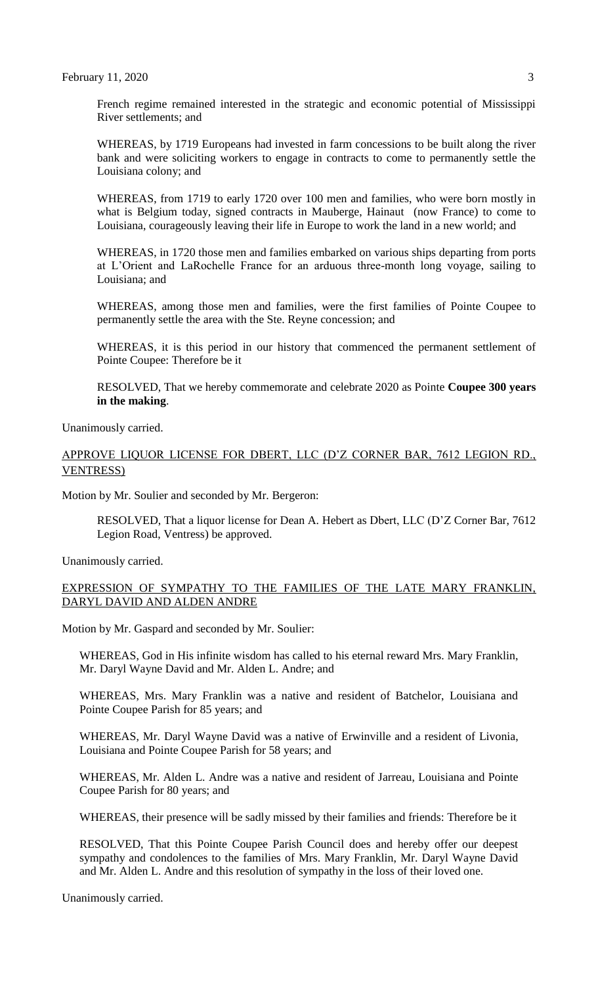French regime remained interested in the strategic and economic potential of Mississippi River settlements; and

WHEREAS, by 1719 Europeans had invested in farm concessions to be built along the river bank and were soliciting workers to engage in contracts to come to permanently settle the Louisiana colony; and

WHEREAS, from 1719 to early 1720 over 100 men and families, who were born mostly in what is Belgium today, signed contracts in Mauberge, Hainaut (now France) to come to Louisiana, courageously leaving their life in Europe to work the land in a new world; and

WHEREAS, in 1720 those men and families embarked on various ships departing from ports at L'Orient and LaRochelle France for an arduous three-month long voyage, sailing to Louisiana; and

WHEREAS, among those men and families, were the first families of Pointe Coupee to permanently settle the area with the Ste. Reyne concession; and

WHEREAS, it is this period in our history that commenced the permanent settlement of Pointe Coupee: Therefore be it

RESOLVED, That we hereby commemorate and celebrate 2020 as Pointe **Coupee 300 years in the making**.

Unanimously carried.

## APPROVE LIQUOR LICENSE FOR DBERT, LLC (D'Z CORNER BAR, 7612 LEGION RD., VENTRESS)

Motion by Mr. Soulier and seconded by Mr. Bergeron:

RESOLVED, That a liquor license for Dean A. Hebert as Dbert, LLC (D'Z Corner Bar, 7612 Legion Road, Ventress) be approved.

Unanimously carried.

#### EXPRESSION OF SYMPATHY TO THE FAMILIES OF THE LATE MARY FRANKLIN, DARYL DAVID AND ALDEN ANDRE

Motion by Mr. Gaspard and seconded by Mr. Soulier:

WHEREAS, God in His infinite wisdom has called to his eternal reward Mrs. Mary Franklin, Mr. Daryl Wayne David and Mr. Alden L. Andre; and

WHEREAS, Mrs. Mary Franklin was a native and resident of Batchelor, Louisiana and Pointe Coupee Parish for 85 years; and

WHEREAS, Mr. Daryl Wayne David was a native of Erwinville and a resident of Livonia, Louisiana and Pointe Coupee Parish for 58 years; and

WHEREAS, Mr. Alden L. Andre was a native and resident of Jarreau, Louisiana and Pointe Coupee Parish for 80 years; and

WHEREAS, their presence will be sadly missed by their families and friends: Therefore be it

RESOLVED, That this Pointe Coupee Parish Council does and hereby offer our deepest sympathy and condolences to the families of Mrs. Mary Franklin, Mr. Daryl Wayne David and Mr. Alden L. Andre and this resolution of sympathy in the loss of their loved one.

Unanimously carried.